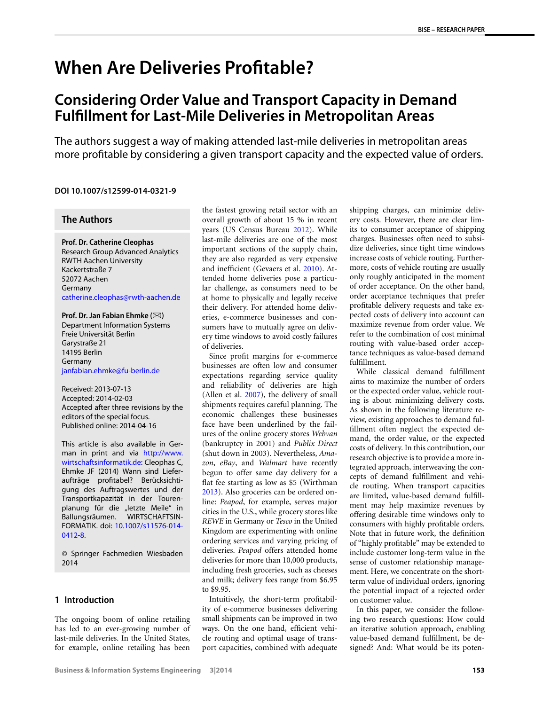# **When Are Deliveries Profitable?**

## **Considering Order Value and Transport Capacity in Demand Fulfillment for Last-Mile Deliveries in Metropolitan Areas**

The authors suggest a way of making attended last-mile deliveries in metropolitan areas more profitable by considering a given transport capacity and the expected value of orders.

## **DOI 10.1007/s12599-014-0321-9**

## **The Authors**

**Prof. Dr. Catherine Cleophas** Research Group Advanced Analytics RWTH Aachen University Kackertstraße 7 52072 Aachen Germany [catherine.cleophas@rwth-aachen.de](mailto:catherine.cleophas@rwth-aachen.de)

**Prof. Dr. Jan Fabian Ehmke (**-**)** Department Information Systems Freie Universität Berlin Garystraße 21 14195 Berlin Germany [janfabian.ehmke@fu-berlin.de](mailto:janfabian.ehmke@fu-berlin.de)

Received: 2013-07-13 Accepted: 2014-02-03 Accepted after three revisions by the editors of the special focus. Published online: 2014-04-16

This article is also available in German in print and via [http://www.](http://www.wirtschaftsinformatik.de) [wirtschaftsinformatik.de:](http://www.wirtschaftsinformatik.de) Cleophas C, Ehmke JF (2014) Wann sind Lieferaufträge profitabel? Berücksichtigung des Auftragswertes und der Transportkapazität in der Tourenplanung für die "letzte Meile" in Ballungsräumen. WIRTSCHAFTSIN-FORMATIK. doi: [10.1007/s11576-014-](http://dx.doi.org/10.1007/s11576-014-0412-8) [0412-8.](http://dx.doi.org/10.1007/s11576-014-0412-8)

© Springer Fachmedien Wiesbaden 2014

## **1 Introduction**

The ongoing boom of online retailing has led to an ever-growing number of last-mile deliveries. In the United States, for example, online retailing has been the fastest growing retail sector with an overall growth of about 15 % in recent years (US Census Bureau [2012\)](#page-10-0). While last-mile deliveries are one of the most important sections of the supply chain, they are also regarded as very expensive and inefficient (Gevaers et al. [2010](#page-10-1)). Attended home deliveries pose a particular challenge, as consumers need to be at home to physically and legally receive their delivery. For attended home deliveries, e-commerce businesses and consumers have to mutually agree on delivery time windows to avoid costly failures of deliveries.

Since profit margins for e-commerce businesses are often low and consumer expectations regarding service quality and reliability of deliveries are high (Allen et al. [2007\)](#page-9-0), the delivery of small shipments requires careful planning. The economic challenges these businesses face have been underlined by the failures of the online grocery stores *Webvan* (bankruptcy in 2001) and *Publix Direct* (shut down in 2003). Nevertheless, *Amazon*, *eBay*, and *Walmart* have recently begun to offer same day delivery for a flat fee starting as low as \$5 (Wirthman [2013](#page-10-2)). Also groceries can be ordered online: *Peapod*, for example, serves major cities in the U.S., while grocery stores like *REWE* in Germany or *Tesco* in the United Kingdom are experimenting with online ordering services and varying pricing of deliveries. *Peapod* offers attended home deliveries for more than 10,000 products, including fresh groceries, such as cheeses and milk; delivery fees range from \$6.95 to \$9.95.

Intuitively, the short-term profitability of e-commerce businesses delivering small shipments can be improved in two ways. On the one hand, efficient vehicle routing and optimal usage of transport capacities, combined with adequate

shipping charges, can minimize delivery costs. However, there are clear limits to consumer acceptance of shipping charges. Businesses often need to subsidize deliveries, since tight time windows increase costs of vehicle routing. Furthermore, costs of vehicle routing are usually only roughly anticipated in the moment of order acceptance. On the other hand, order acceptance techniques that prefer profitable delivery requests and take expected costs of delivery into account can maximize revenue from order value. We refer to the combination of cost minimal routing with value-based order acceptance techniques as value-based demand fulfillment.

While classical demand fulfillment aims to maximize the number of orders or the expected order value, vehicle routing is about minimizing delivery costs. As shown in the following literature review, existing approaches to demand fulfillment often neglect the expected demand, the order value, or the expected costs of delivery. In this contribution, our research objective is to provide a more integrated approach, interweaving the concepts of demand fulfillment and vehicle routing. When transport capacities are limited, value-based demand fulfillment may help maximize revenues by offering desirable time windows only to consumers with highly profitable orders. Note that in future work, the definition of "highly profitable" may be extended to include customer long-term value in the sense of customer relationship management. Here, we concentrate on the shortterm value of individual orders, ignoring the potential impact of a rejected order on customer value.

In this paper, we consider the following two research questions: How could an iterative solution approach, enabling value-based demand fulfillment, be designed? And: What would be its poten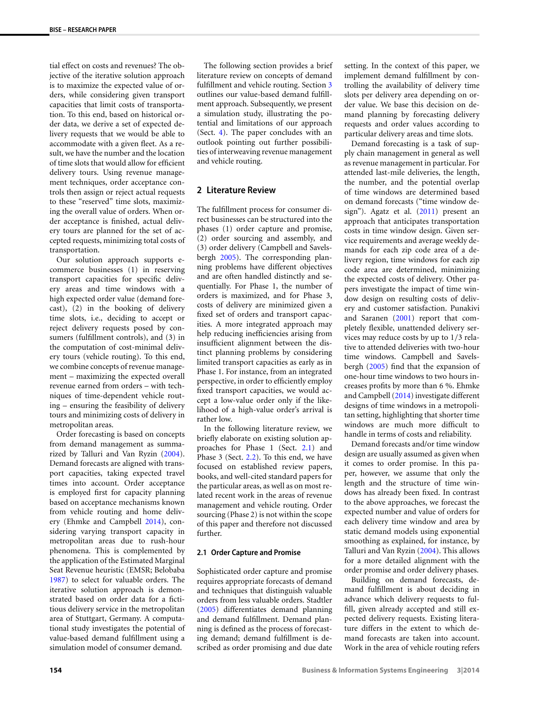tial effect on costs and revenues? The objective of the iterative solution approach is to maximize the expected value of orders, while considering given transport capacities that limit costs of transportation. To this end, based on historical order data, we derive a set of expected delivery requests that we would be able to accommodate with a given fleet. As a result, we have the number and the location of time slots that would allow for efficient delivery tours. Using revenue management techniques, order acceptance controls then assign or reject actual requests to these "reserved" time slots, maximizing the overall value of orders. When order acceptance is finished, actual delivery tours are planned for the set of accepted requests, minimizing total costs of transportation.

Our solution approach supports ecommerce businesses (1) in reserving transport capacities for specific delivery areas and time windows with a high expected order value (demand forecast), (2) in the booking of delivery time slots, i.e., deciding to accept or reject delivery requests posed by consumers (fulfillment controls), and (3) in the computation of cost-minimal delivery tours (vehicle routing). To this end, we combine concepts of revenue management – maximizing the expected overall revenue earned from orders – with techniques of time-dependent vehicle routing – ensuring the feasibility of delivery tours and minimizing costs of delivery in metropolitan areas.

Order forecasting is based on concepts from demand management as summarized by Talluri and Van Ryzin [\(2004](#page-10-3)). Demand forecasts are aligned with transport capacities, taking expected travel times into account. Order acceptance is employed first for capacity planning based on acceptance mechanisms known from vehicle routing and home delivery (Ehmke and Campbell [2014\)](#page-10-4), considering varying transport capacity in metropolitan areas due to rush-hour phenomena. This is complemented by the application of the Estimated Marginal Seat Revenue heuristic (EMSR; Belobaba [1987](#page-10-5)) to select for valuable orders. The iterative solution approach is demonstrated based on order data for a fictitious delivery service in the metropolitan area of Stuttgart, Germany. A computational study investigates the potential of value-based demand fulfillment using a simulation model of consumer demand.

<span id="page-1-1"></span>The following section provides a brief literature review on concepts of demand fulfillment and vehicle routing. Section [3](#page-3-0) outlines our value-based demand fulfillment approach. Subsequently, we present a simulation study, illustrating the potential and limitations of our approach (Sect. [4\)](#page-5-0). The paper concludes with an outlook pointing out further possibilities of interweaving revenue management and vehicle routing.

### **2 Literature Review**

The fulfillment process for consumer direct businesses can be structured into the phases (1) order capture and promise, (2) order sourcing and assembly, and (3) order delivery (Campbell and Savelsbergh [2005\)](#page-10-6). The corresponding planning problems have different objectives and are often handled distinctly and sequentially. For Phase 1, the number of orders is maximized, and for Phase 3, costs of delivery are minimized given a fixed set of orders and transport capacities. A more integrated approach may help reducing inefficiencies arising from insufficient alignment between the distinct planning problems by considering limited transport capacities as early as in Phase 1. For instance, from an integrated perspective, in order to efficiently employ fixed transport capacities, we would accept a low-value order only if the likelihood of a high-value order's arrival is rather low.

<span id="page-1-0"></span>In the following literature review, we briefly elaborate on existing solution approaches for Phase 1 (Sect. [2.1\)](#page-1-0) and Phase 3 (Sect. [2.2](#page-2-0)). To this end, we have focused on established review papers, books, and well-cited standard papers for the particular areas, as well as on most related recent work in the areas of revenue management and vehicle routing. Order sourcing (Phase 2) is not within the scope of this paper and therefore not discussed further.

#### **2.1 Order Capture and Promise**

Sophisticated order capture and promise requires appropriate forecasts of demand and techniques that distinguish valuable orders from less valuable orders. Stadtler [\(2005\)](#page-10-7) differentiates demand planning and demand fulfillment. Demand planning is defined as the process of forecasting demand; demand fulfillment is described as order promising and due date

setting. In the context of this paper, we implement demand fulfillment by controlling the availability of delivery time slots per delivery area depending on order value. We base this decision on demand planning by forecasting delivery requests and order values according to particular delivery areas and time slots.

Demand forecasting is a task of supply chain management in general as well as revenue management in particular. For attended last-mile deliveries, the length, the number, and the potential overlap of time windows are determined based on demand forecasts ("time window de-sign"). Agatz et al. [\(2011](#page-9-1)) present an approach that anticipates transportation costs in time window design. Given service requirements and average weekly demands for each zip code area of a delivery region, time windows for each zip code area are determined, minimizing the expected costs of delivery. Other papers investigate the impact of time window design on resulting costs of delivery and customer satisfaction. Punakivi and Saranen ([2001](#page-10-8)) report that completely flexible, unattended delivery services may reduce costs by up to 1*/*3 relative to attended deliveries with two-hour time windows. Campbell and Savelsbergh ([2005\)](#page-10-6) find that the expansion of one-hour time windows to two hours increases profits by more than 6 %. Ehmke and Campbell ([2014](#page-10-4)) investigate different designs of time windows in a metropolitan setting, highlighting that shorter time windows are much more difficult to handle in terms of costs and reliability.

Demand forecasts and/or time window design are usually assumed as given when it comes to order promise. In this paper, however, we assume that only the length and the structure of time windows has already been fixed. In contrast to the above approaches, we forecast the expected number and value of orders for each delivery time window and area by static demand models using exponential smoothing as explained, for instance, by Talluri and Van Ryzin ([2004](#page-10-3)). This allows for a more detailed alignment with the order promise and order delivery phases.

Building on demand forecasts, demand fulfillment is about deciding in advance which delivery requests to fulfill, given already accepted and still expected delivery requests. Existing literature differs in the extent to which demand forecasts are taken into account. Work in the area of vehicle routing refers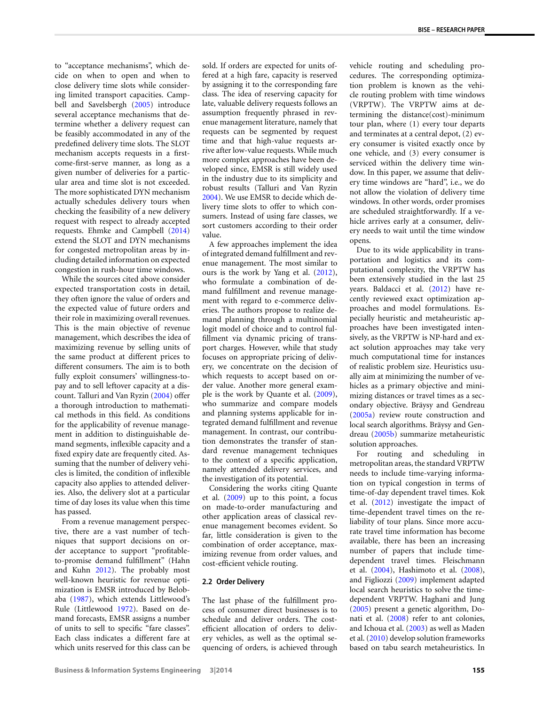to "acceptance mechanisms", which decide on when to open and when to close delivery time slots while considering limited transport capacities. Campbell and Savelsbergh [\(2005](#page-10-6)) introduce several acceptance mechanisms that determine whether a delivery request can be feasibly accommodated in any of the predefined delivery time slots. The SLOT mechanism accepts requests in a firstcome-first-serve manner, as long as a given number of deliveries for a particular area and time slot is not exceeded. The more sophisticated DYN mechanism actually schedules delivery tours when checking the feasibility of a new delivery request with respect to already accepted requests. Ehmke and Campbell [\(2014](#page-10-4)) extend the SLOT and DYN mechanisms for congested metropolitan areas by including detailed information on expected congestion in rush-hour time windows.

While the sources cited above consider expected transportation costs in detail, they often ignore the value of orders and the expected value of future orders and their role in maximizing overall revenues. This is the main objective of revenue management, which describes the idea of maximizing revenue by selling units of the same product at different prices to different consumers. The aim is to both fully exploit consumers' willingness-topay and to sell leftover capacity at a discount. Talluri and Van Ryzin [\(2004](#page-10-3)) offer a thorough introduction to mathematical methods in this field. As conditions for the applicability of revenue management in addition to distinguishable demand segments, inflexible capacity and a fixed expiry date are frequently cited. Assuming that the number of delivery vehicles is limited, the condition of inflexible capacity also applies to attended deliveries. Also, the delivery slot at a particular time of day loses its value when this time has passed.

From a revenue management perspective, there are a vast number of techniques that support decisions on order acceptance to support "profitableto-promise demand fulfillment" (Hahn and Kuhn [2012\)](#page-10-9). The probably most well-known heuristic for revenue optimization is EMSR introduced by Belobaba ([1987\)](#page-10-5), which extends Littlewood's Rule (Littlewood [1972\)](#page-10-10). Based on demand forecasts, EMSR assigns a number of units to sell to specific "fare classes". Each class indicates a different fare at which units reserved for this class can be sold. If orders are expected for units offered at a high fare, capacity is reserved by assigning it to the corresponding fare class. The idea of reserving capacity for late, valuable delivery requests follows an assumption frequently phrased in revenue management literature, namely that requests can be segmented by request time and that high-value requests arrive after low-value requests. While much more complex approaches have been developed since, EMSR is still widely used in the industry due to its simplicity and robust results (Talluri and Van Ryzin [2004](#page-10-3)). We use EMSR to decide which delivery time slots to offer to which consumers. Instead of using fare classes, we sort customers according to their order value.

A few approaches implement the idea of integrated demand fulfillment and revenue management. The most similar to ours is the work by Yang et al. [\(2012](#page-10-11)), who formulate a combination of demand fulfillment and revenue management with regard to e-commerce deliveries. The authors propose to realize demand planning through a multinomial logit model of choice and to control fulfillment via dynamic pricing of transport charges. However, while that study focuses on appropriate pricing of delivery, we concentrate on the decision of which requests to accept based on order value. Another more general example is the work by Quante et al. [\(2009](#page-10-12)), who summarize and compare models and planning systems applicable for integrated demand fulfillment and revenue management. In contrast, our contribution demonstrates the transfer of standard revenue management techniques to the context of a specific application, namely attended delivery services, and the investigation of its potential.

<span id="page-2-0"></span>Considering the works citing Quante et al. ([2009](#page-10-12)) up to this point, a focus on made-to-order manufacturing and other application areas of classical revenue management becomes evident. So far, little consideration is given to the combination of order acceptance, maximizing revenue from order values, and cost-efficient vehicle routing.

#### **2.2 Order Delivery**

The last phase of the fulfillment process of consumer direct businesses is to schedule and deliver orders. The costefficient allocation of orders to delivery vehicles, as well as the optimal sequencing of orders, is achieved through

vehicle routing and scheduling procedures. The corresponding optimization problem is known as the vehicle routing problem with time windows (VRPTW). The VRPTW aims at determining the distance(cost)-minimum tour plan, where (1) every tour departs and terminates at a central depot, (2) every consumer is visited exactly once by one vehicle, and (3) every consumer is serviced within the delivery time window. In this paper, we assume that delivery time windows are "hard", i.e., we do not allow the violation of delivery time windows. In other words, order promises are scheduled straightforwardly. If a vehicle arrives early at a consumer, delivery needs to wait until the time window opens.

Due to its wide applicability in transportation and logistics and its computational complexity, the VRPTW has been extensively studied in the last 25 years. Baldacci et al. [\(2012](#page-10-13)) have recently reviewed exact optimization approaches and model formulations. Especially heuristic and metaheuristic approaches have been investigated intensively, as the VRPTW is NP-hard and exact solution approaches may take very much computational time for instances of realistic problem size. Heuristics usually aim at minimizing the number of vehicles as a primary objective and minimizing distances or travel times as a secondary objective. Bräysy and Gendreau [\(2005a\)](#page-10-14) review route construction and local search algorithms. Bräysy and Gendreau [\(2005b](#page-10-15)) summarize metaheuristic solution approaches.

For routing and scheduling in metropolitan areas, the standard VRPTW needs to include time-varying information on typical congestion in terms of time-of-day dependent travel times. Kok et al. ([2012\)](#page-10-16) investigate the impact of time-dependent travel times on the reliability of tour plans. Since more accurate travel time information has become available, there has been an increasing number of papers that include timedependent travel times. Fleischmann et al. ([2004](#page-10-17)), Hashimoto et al. [\(2008](#page-10-18)), and Figliozzi ([2009\)](#page-10-19) implement adapted local search heuristics to solve the timedependent VRPTW. Haghani and Jung [\(2005\)](#page-10-20) present a genetic algorithm, Donati et al. [\(2008](#page-10-21)) refer to ant colonies, and Ichoua et al. [\(2003](#page-10-22)) as well as Maden et al. ([2010\)](#page-10-23) develop solution frameworks based on tabu search metaheuristics. In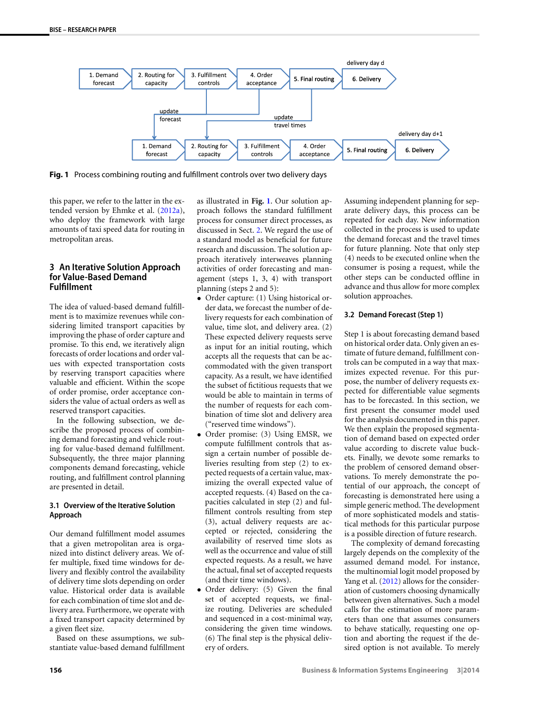<span id="page-3-1"></span>

**Fig. 1** Process combining routing and fulfillment controls over two delivery days

<span id="page-3-0"></span>this paper, we refer to the latter in the extended version by Ehmke et al. ([2012a](#page-10-24)), who deploy the framework with large amounts of taxi speed data for routing in metropolitan areas.

#### **3 An Iterative Solution Approach for Value-Based Demand Fulfillment**

The idea of valued-based demand fulfillment is to maximize revenues while considering limited transport capacities by improving the phase of order capture and promise. To this end, we iteratively align forecasts of order locations and order values with expected transportation costs by reserving transport capacities where valuable and efficient. Within the scope of order promise, order acceptance considers the value of actual orders as well as reserved transport capacities.

In the following subsection, we describe the proposed process of combining demand forecasting and vehicle routing for value-based demand fulfillment. Subsequently, the three major planning components demand forecasting, vehicle routing, and fulfillment control planning are presented in detail.

#### **3.1 Overview of the Iterative Solution Approach**

Our demand fulfillment model assumes that a given metropolitan area is organized into distinct delivery areas. We offer multiple, fixed time windows for delivery and flexibly control the availability of delivery time slots depending on order value. Historical order data is available for each combination of time slot and delivery area. Furthermore, we operate with a fixed transport capacity determined by a given fleet size.

Based on these assumptions, we substantiate value-based demand fulfillment as illustrated in **Fig. [1](#page-3-1)**. Our solution approach follows the standard fulfillment process for consumer direct processes, as discussed in Sect. [2.](#page-1-1) We regard the use of a standard model as beneficial for future research and discussion. The solution approach iteratively interweaves planning activities of order forecasting and management (steps 1, 3, 4) with transport planning (steps 2 and 5):

- Order capture: (1) Using historical order data, we forecast the number of delivery requests for each combination of value, time slot, and delivery area. (2) These expected delivery requests serve as input for an initial routing, which accepts all the requests that can be accommodated with the given transport capacity. As a result, we have identified the subset of fictitious requests that we would be able to maintain in terms of the number of requests for each combination of time slot and delivery area ("reserved time windows").
- Order promise: (3) Using EMSR, we compute fulfillment controls that assign a certain number of possible deliveries resulting from step (2) to expected requests of a certain value, maximizing the overall expected value of accepted requests. (4) Based on the capacities calculated in step (2) and fulfillment controls resulting from step (3), actual delivery requests are accepted or rejected, considering the availability of reserved time slots as well as the occurrence and value of still expected requests. As a result, we have the actual, final set of accepted requests (and their time windows).
- Order delivery: (5) Given the final set of accepted requests, we finalize routing. Deliveries are scheduled and sequenced in a cost-minimal way, considering the given time windows. (6) The final step is the physical delivery of orders.

<span id="page-3-2"></span>Assuming independent planning for separate delivery days, this process can be repeated for each day. New information collected in the process is used to update the demand forecast and the travel times for future planning. Note that only step (4) needs to be executed online when the consumer is posing a request, while the other steps can be conducted offline in advance and thus allow for more complex solution approaches.

#### **3.2 Demand Forecast (Step 1)**

Step 1 is about forecasting demand based on historical order data. Only given an estimate of future demand, fulfillment controls can be computed in a way that maximizes expected revenue. For this purpose, the number of delivery requests expected for differentiable value segments has to be forecasted. In this section, we first present the consumer model used for the analysis documented in this paper. We then explain the proposed segmentation of demand based on expected order value according to discrete value buckets. Finally, we devote some remarks to the problem of censored demand observations. To merely demonstrate the potential of our approach, the concept of forecasting is demonstrated here using a simple generic method. The development of more sophisticated models and statistical methods for this particular purpose is a possible direction of future research.

The complexity of demand forecasting largely depends on the complexity of the assumed demand model. For instance, the multinomial logit model proposed by Yang et al. [\(2012\)](#page-10-11) allows for the consideration of customers choosing dynamically between given alternatives. Such a model calls for the estimation of more parameters than one that assumes consumers to behave statically, requesting one option and aborting the request if the desired option is not available. To merely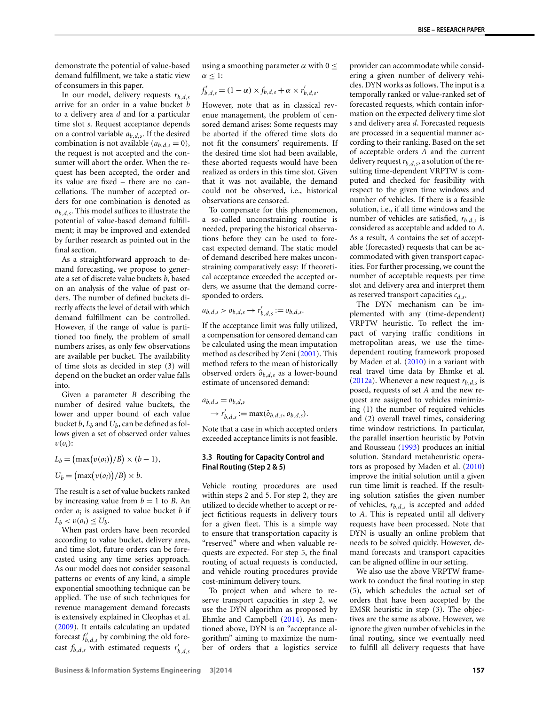demonstrate the potential of value-based demand fulfillment, we take a static view of consumers in this paper.

In our model, delivery requests  $r_{b,d,s}$ arrive for an order in a value bucket *b* to a delivery area *d* and for a particular time slot *s*. Request acceptance depends on a control variable  $a_{b,d,s}$ . If the desired combination is not available  $(a_{b,d,s} = 0)$ , the request is not accepted and the consumer will abort the order. When the request has been accepted, the order and its value are fixed – there are no cancellations. The number of accepted orders for one combination is denoted as *ob,d,s*. This model suffices to illustrate the potential of value-based demand fulfillment; it may be improved and extended by further research as pointed out in the final section.

As a straightforward approach to demand forecasting, we propose to generate a set of discrete value buckets *b*, based on an analysis of the value of past orders. The number of defined buckets directly affects the level of detail with which demand fulfillment can be controlled. However, if the range of value is partitioned too finely, the problem of small numbers arises, as only few observations are available per bucket. The availability of time slots as decided in step (3) will depend on the bucket an order value falls into.

Given a parameter *B* describing the number of desired value buckets, the lower and upper bound of each value bucket  $b$ ,  $L_b$  and  $U_b$ , can be defined as follows given a set of observed order values  $v(o_i)$ :

$$
L_b = \big(\max(v(o_i))/B\big) \times (b-1),
$$

$$
U_b = \bigl( \max(v(o_i)) / B \bigr) \times b.
$$

The result is a set of value buckets ranked by increasing value from  $b = 1$  to *B*. An order  $o_i$  is assigned to value bucket  $b$  if  $L_b < v(o_i) \leq U_b$ .

When past orders have been recorded according to value bucket, delivery area, and time slot, future orders can be forecasted using any time series approach. As our model does not consider seasonal patterns or events of any kind, a simple exponential smoothing technique can be applied. The use of such techniques for revenue management demand forecasts is extensively explained in Cleophas et al. [\(2009](#page-10-25)). It entails calculating an updated forecast  $f'_{b,d,s}$  by combining the old forecast  $f_{b,d,s}$  with estimated requests  $r'_{b,d,s}$ 

using a smoothing parameter  $\alpha$  with  $0 \leq$ *α* ≤ 1:

$$
f'_{b,d,s} = (1 - \alpha) \times f_{b,d,s} + \alpha \times r'_{b,d,s}.
$$

However, note that as in classical revenue management, the problem of censored demand arises: Some requests may be aborted if the offered time slots do not fit the consumers' requirements. If the desired time slot had been available, these aborted requests would have been realized as orders in this time slot. Given that it was not available, the demand could not be observed, i.e., historical observations are censored.

To compensate for this phenomenon, a so-called unconstraining routine is needed, preparing the historical observations before they can be used to forecast expected demand. The static model of demand described here makes unconstraining comparatively easy: If theoretical acceptance exceeded the accepted orders, we assume that the demand corresponded to orders.

$$
a_{b,d,s} > o_{b,d,s} \rightarrow r'_{b,d,s} := o_{b,d,s}.
$$

If the acceptance limit was fully utilized, a compensation for censored demand can be calculated using the mean imputation method as described by Zeni [\(2001\)](#page-10-26). This method refers to the mean of historically observed orders  $\hat{\theta}_{b,d,s}$  as a lower-bound estimate of uncensored demand:

<span id="page-4-0"></span>
$$
a_{b,d,s} = o_{b,d,s}
$$
  
\n
$$
\rightarrow r'_{b,d,s} := \max(\hat{o}_{b,d,s}, o_{b,d,s}).
$$

Note that a case in which accepted orders exceeded acceptance limits is not feasible.

#### **3.3 Routing for Capacity Control and Final Routing (Step 2 & 5)**

Vehicle routing procedures are used within steps 2 and 5. For step 2, they are utilized to decide whether to accept or reject fictitious requests in delivery tours for a given fleet. This is a simple way to ensure that transportation capacity is "reserved" where and when valuable requests are expected. For step 5, the final routing of actual requests is conducted, and vehicle routing procedures provide cost-minimum delivery tours.

To project when and where to reserve transport capacities in step 2, we use the DYN algorithm as proposed by Ehmke and Campbell [\(2014](#page-10-4)). As mentioned above, DYN is an "acceptance algorithm" aiming to maximize the number of orders that a logistics service

provider can accommodate while considering a given number of delivery vehicles. DYN works as follows. The input is a temporally ranked or value-ranked set of forecasted requests, which contain information on the expected delivery time slot *s* and delivery area *d*. Forecasted requests are processed in a sequential manner according to their ranking. Based on the set of acceptable orders *A* and the current delivery request  $r_{b,d,s}$ , a solution of the resulting time-dependent VRPTW is computed and checked for feasibility with respect to the given time windows and number of vehicles. If there is a feasible solution, i.e., if all time windows and the number of vehicles are satisfied,  $r_{h,d,s}$  is considered as acceptable and added to *A*. As a result, *A* contains the set of acceptable (forecasted) requests that can be accommodated with given transport capacities. For further processing, we count the number of acceptable requests per time slot and delivery area and interpret them as reserved transport capacities *cd,s*.

The DYN mechanism can be implemented with any (time-dependent) VRPTW heuristic. To reflect the impact of varying traffic conditions in metropolitan areas, we use the timedependent routing framework proposed by Maden et al. [\(2010](#page-10-23)) in a variant with real travel time data by Ehmke et al. [\(2012a\)](#page-10-24). Whenever a new request  $r_{b,d,s}$  is posed, requests of set *A* and the new request are assigned to vehicles minimizing (1) the number of required vehicles and (2) overall travel times, considering time window restrictions. In particular, the parallel insertion heuristic by Potvin and Rousseau ([1993](#page-10-27)) produces an initial solution. Standard metaheuristic operators as proposed by Maden et al. [\(2010\)](#page-10-23) improve the initial solution until a given run time limit is reached. If the resulting solution satisfies the given number of vehicles,  $r_{b,d,s}$  is accepted and added to *A*. This is repeated until all delivery requests have been processed. Note that DYN is usually an online problem that needs to be solved quickly. However, demand forecasts and transport capacities can be aligned offline in our setting.

We also use the above VRPTW framework to conduct the final routing in step (5), which schedules the actual set of orders that have been accepted by the EMSR heuristic in step (3). The objectives are the same as above. However, we ignore the given number of vehicles in the final routing, since we eventually need to fulfill all delivery requests that have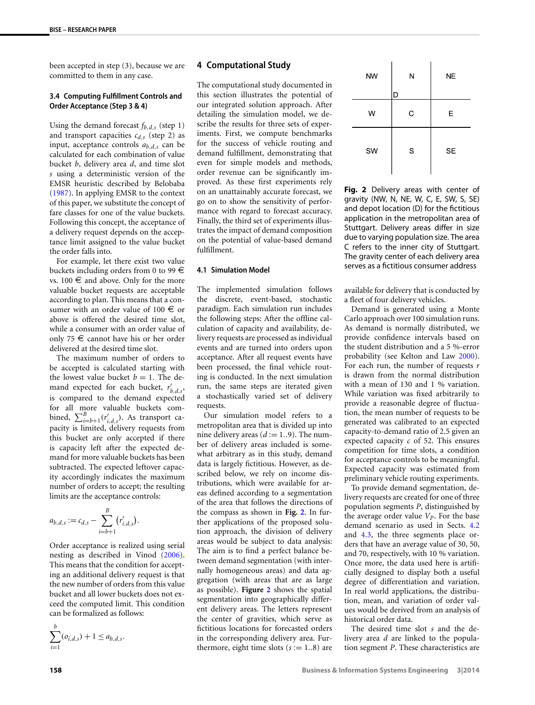been accepted in step (3), because we are committed to them in any case.

#### **3.4 Computing Fulfillment Controls and Order Acceptance (Step 3 & 4)**

Using the demand forecast  $f_{b,d,s}$  (step 1) and transport capacities  $c_{d,s}$  (step 2) as input, acceptance controls  $a_{b,d,s}$  can be calculated for each combination of value bucket *b*, delivery area *d*, and time slot *s* using a deterministic version of the EMSR heuristic described by Belobaba [\(1987](#page-10-5)). In applying EMSR to the context of this paper, we substitute the concept of fare classes for one of the value buckets. Following this concept, the acceptance of a delivery request depends on the acceptance limit assigned to the value bucket the order falls into.

For example, let there exist two value buckets including orders from 0 to 99  $\in$ vs. 100  $\epsilon$  and above. Only for the more valuable bucket requests are acceptable according to plan. This means that a consumer with an order value of 100  $\epsilon$  or above is offered the desired time slot, while a consumer with an order value of only 75  $\epsilon$  cannot have his or her order delivered at the desired time slot.

The maximum number of orders to be accepted is calculated starting with the lowest value bucket  $b = 1$ . The demand expected for each bucket,  $r'_{b,d,s}$ , is compared to the demand expected for all more valuable buckets combined,  $\sum_{i=b+1}^{B} (r'_{i,d,s})$ . As transport capacity is limited, delivery requests from this bucket are only accepted if there is capacity left after the expected demand for more valuable buckets has been subtracted. The expected leftover capacity accordingly indicates the maximum number of orders to accept; the resulting limits are the acceptance controls:

$$
a_{b,d,s} := c_{d,s} - \sum_{i=b+1}^{B} (r'_{i,d,s}).
$$

Order acceptance is realized using serial nesting as described in Vinod ([2006](#page-10-28)). This means that the condition for accepting an additional delivery request is that the new number of orders from this value bucket and all lower buckets does not exceed the computed limit. This condition can be formalized as follows:

$$
\sum_{i=1}^{b} (o_{i,d,s}) + 1 \le a_{b,d,s}.
$$

#### <span id="page-5-0"></span>**4 Computational Study**

The computational study documented in this section illustrates the potential of our integrated solution approach. After detailing the simulation model, we describe the results for three sets of experiments. First, we compute benchmarks for the success of vehicle routing and demand fulfillment, demonstrating that even for simple models and methods, order revenue can be significantly improved. As these first experiments rely on an unattainably accurate forecast, we go on to show the sensitivity of performance with regard to forecast accuracy. Finally, the third set of experiments illustrates the impact of demand composition on the potential of value-based demand fulfillment.

#### <span id="page-5-2"></span>**4.1 Simulation Model**

The implemented simulation follows the discrete, event-based, stochastic paradigm. Each simulation run includes the following steps: After the offline calculation of capacity and availability, delivery requests are processed as individual events and are turned into orders upon acceptance. After all request events have been processed, the final vehicle routing is conducted. In the next simulation run, the same steps are iterated given a stochastically varied set of delivery requests.

Our simulation model refers to a metropolitan area that is divided up into nine delivery areas  $(d := 1..9)$ . The number of delivery areas included is somewhat arbitrary as in this study, demand data is largely fictitious. However, as described below, we rely on income distributions, which were available for areas defined according to a segmentation of the area that follows the directions of the compass as shown in **Fig. [2](#page-5-1)**. In further applications of the proposed solution approach, the division of delivery areas would be subject to data analysis: The aim is to find a perfect balance between demand segmentation (with internally homogeneous areas) and data aggregation (with areas that are as large as possible). **Figure [2](#page-5-1)** shows the spatial segmentation into geographically different delivery areas. The letters represent the center of gravities, which serve as fictitious locations for forecasted orders in the corresponding delivery area. Furthermore, eight time slots  $(s := 1..8)$  are

| NW | N<br>D | <b>NE</b> |
|----|--------|-----------|
| W  | C      | Е         |
| SW | S      | <b>SE</b> |

<span id="page-5-1"></span>**Fig. 2** Delivery areas with center of gravity (NW, N, NE, W, C, E, SW, S, SE) and depot location (D) for the fictitious application in the metropolitan area of Stuttgart. Delivery areas differ in size due to varying population size. The area C refers to the inner city of Stuttgart. The gravity center of each delivery area serves as a fictitious consumer address

available for delivery that is conducted by a fleet of four delivery vehicles.

Demand is generated using a Monte Carlo approach over 100 simulation runs. As demand is normally distributed, we provide confidence intervals based on the student distribution and a 5 %-error probability (see Kelton and Law [2000](#page-10-29)). For each run, the number of requests *r* is drawn from the normal distribution with a mean of 130 and 1 % variation. While variation was fixed arbitrarily to provide a reasonable degree of fluctuation, the mean number of requests to be generated was calibrated to an expected capacity-to-demand ratio of 2.5 given an expected capacity *c* of 52. This ensures competition for time slots, a condition for acceptance controls to be meaningful. Expected capacity was estimated from preliminary vehicle routing experiments.

To provide demand segmentation, delivery requests are created for one of three population segments *P*, distinguished by the average order value *VP*. For the base demand scenario as used in Sects. [4.2](#page-6-0) and [4.3,](#page-7-0) the three segments place orders that have an average value of 30, 50, and 70, respectively, with 10 % variation. Once more, the data used here is artificially designed to display both a useful degree of differentiation and variation. In real world applications, the distribution, mean, and variation of order values would be derived from an analysis of historical order data.

The desired time slot *s* and the delivery area *d* are linked to the population segment *P*. These characteristics are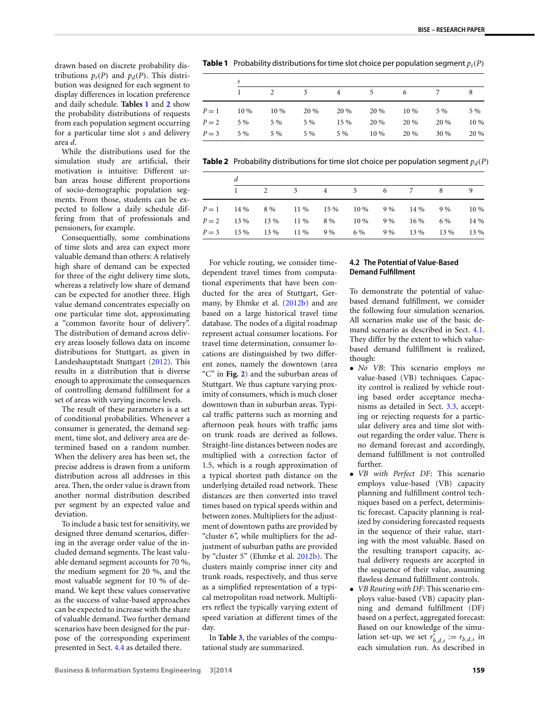drawn based on discrete probability distributions  $p_s(P)$  and  $p_d(P)$ . This distribution was designed for each segment to display differences in location preference and daily schedule. **Tables [1](#page-6-1)** and **[2](#page-6-2)** show the probability distributions of requests from each population segment occurring for a particular time slot *s* and delivery area *d*.

While the distributions used for the simulation study are artificial, their motivation is intuitive: Different urban areas house different proportions of socio-demographic population segments. From those, students can be expected to follow a daily schedule differing from that of professionals and pensioners, for example.

Consequentially, some combinations of time slots and area can expect more valuable demand than others: A relatively high share of demand can be expected for three of the eight delivery time slots, whereas a relatively low share of demand can be expected for another three. High value demand concentrates especially on one particular time slot, approximating a "common favorite hour of delivery". The distribution of demand across delivery areas loosely follows data on income distributions for Stuttgart, as given in Landeshauptstadt Stuttgart ([2012](#page-10-30)). This results in a distribution that is diverse enough to approximate the consequences of controlling demand fulfillment for a set of areas with varying income levels.

The result of these parameters is a set of conditional probabilities. Whenever a consumer is generated, the demand segment, time slot, and delivery area are determined based on a random number. When the delivery area has been set, the precise address is drawn from a uniform distribution across all addresses in this area. Then, the order value is drawn from another normal distribution described per segment by an expected value and deviation.

To include a basic test for sensitivity, we designed three demand scenarios, differing in the average order value of the included demand segments. The least valuable demand segment accounts for 70 %, the medium segment for 20 %, and the most valuable segment for 10 % of demand. We kept these values conservative as the success of value-based approaches can be expected to increase with the share of valuable demand. Two further demand scenarios have been designed for the purpose of the corresponding experiment presented in Sect. [4.4](#page-8-0) as detailed there.

<span id="page-6-1"></span>**Table 1** Probability distributions for time slot choice per population segment  $p_s(P)$ 

<span id="page-6-2"></span>

|         | s    |        |      |      |        |      |      |      |
|---------|------|--------|------|------|--------|------|------|------|
|         |      |        | 3    | 4    | .5     | 6    |      |      |
| $P=1$   | 10 % | $10\%$ | 20 % | 20 % | 20 %   | 10 % | 5 %  | 5 %  |
| $P = 2$ | 5 %  | 5 %    | 5 %  | 15 % | 20 %   | 20 % | 20 % | 10 % |
| $P = 3$ | 5 %  | 5 %    | 5 %  | 5 %  | $10\%$ | 20 % | 30 % | 20 % |

**Table 2** Probability distributions for time slot choice per population segment  $p_d(P)$ 

|         | d    |                                        |      |               |         |  |                   |     |      |
|---------|------|----------------------------------------|------|---------------|---------|--|-------------------|-----|------|
|         |      | 2 3                                    |      |               | 4 5 6 7 |  |                   | - 8 |      |
|         |      | $P=1$ 14% 8% 11% 15% 10% 9% 14% 9% 10% |      |               |         |  |                   |     |      |
| $P = 2$ | 13 % | 13 %                                   |      | 11 % 8 % 10 % |         |  | $9\%$ 16\% 6\%    |     | 14 % |
| $P = 3$ | 13 % | 13 %                                   | 11 % | $9\%$         |         |  | 6 % 9 % 13 % 13 % |     | 13 % |

For vehicle routing, we consider timedependent travel times from computational experiments that have been conducted for the area of Stuttgart, Germany, by Ehmke et al. [\(2012b](#page-10-31)) and are based on a large historical travel time database. The nodes of a digital roadmap represent actual consumer locations. For travel time determination, consumer locations are distinguished by two different zones, namely the downtown (area "C" in **Fig. [2](#page-5-1)**) and the suburban areas of Stuttgart. We thus capture varying proximity of consumers, which is much closer downtown than in suburban areas. Typical traffic patterns such as morning and afternoon peak hours with traffic jams on trunk roads are derived as follows. Straight-line distances between nodes are multiplied with a correction factor of 1.5, which is a rough approximation of a typical shortest path distance on the underlying detailed road network. These distances are then converted into travel times based on typical speeds within and between zones. Multipliers for the adjustment of downtown paths are provided by "cluster 6", while multipliers for the adjustment of suburban paths are provided by "cluster 5" (Ehmke et al. [2012b\)](#page-10-31). The clusters mainly comprise inner city and trunk roads, respectively, and thus serve as a simplified representation of a typical metropolitan road network. Multipliers reflect the typically varying extent of speed variation at different times of the day.

In **Table [3](#page-7-1)**, the variables of the computational study are summarized.

#### <span id="page-6-0"></span>**4.2 The Potential of Value-Based Demand Fulfillment**

To demonstrate the potential of valuebased demand fulfillment, we consider the following four simulation scenarios. All scenarios make use of the basic demand scenario as described in Sect. [4.1.](#page-5-2) They differ by the extent to which valuebased demand fulfillment is realized, though:

- *No VB*: This scenario employs *no* value-based (VB) techniques. Capacity control is realized by vehicle routing based order acceptance mechanisms as detailed in Sect. [3.3](#page-4-0), accepting or rejecting requests for a particular delivery area and time slot without regarding the order value. There is no demand forecast and accordingly, demand fulfillment is not controlled further.
- *VB with Perfect DF*: This scenario employs value-based (VB) capacity planning and fulfillment control techniques based on a perfect, deterministic forecast. Capacity planning is realized by considering forecasted requests in the sequence of their value, starting with the most valuable. Based on the resulting transport capacity, actual delivery requests are accepted in the sequence of their value, assuming flawless demand fulfillment controls.
- *VB Routing with DF*: This scenario employs value-based (VB) capacity planning and demand fulfillment (DF) based on a perfect, aggregated forecast: Based on our knowledge of the simulation set-up, we set  $r'_{b,d,s} := r_{b,d,s}$  in each simulation run. As described in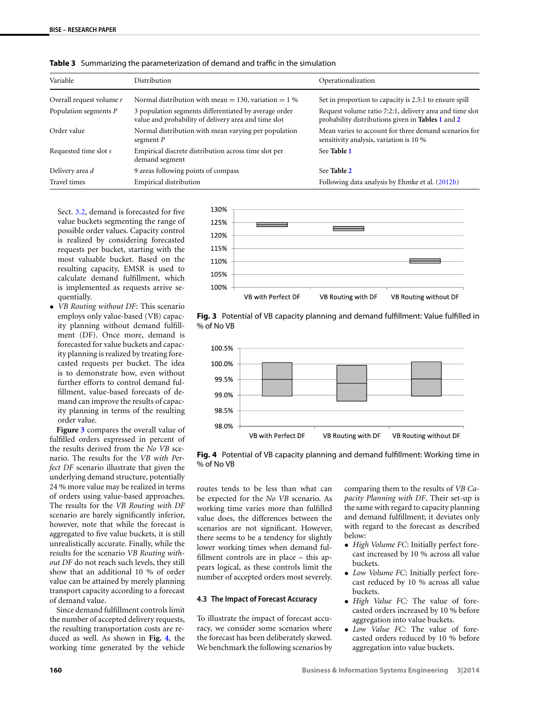| Variable                 | Distribution                                                                                                  | Operationalization                                                                                           |  |  |
|--------------------------|---------------------------------------------------------------------------------------------------------------|--------------------------------------------------------------------------------------------------------------|--|--|
| Overall request volume r | Normal distribution with mean $= 130$ , variation $= 1\%$                                                     | Set in proportion to capacity is 2.5:1 to ensure spill                                                       |  |  |
| Population segments $P$  | 3 population segments differentiated by average order<br>value and probability of delivery area and time slot | Request volume ratio 7:2:1, delivery area and time slot<br>probability distributions given in Tables 1 and 2 |  |  |
| Order value              | Normal distribution with mean varying per population<br>segment $P$                                           | Mean varies to account for three demand scenarios for<br>sensitivity analysis, variation is 10 %             |  |  |
| Requested time slot s    | Empirical discrete distribution across time slot per<br>demand segment                                        | See Table 1                                                                                                  |  |  |
| Delivery area d          | 9 areas following points of compass                                                                           | See Table 2                                                                                                  |  |  |
| Travel times             | Empirical distribution                                                                                        | Following data analysis by Ehmke et al. (2012b)                                                              |  |  |

<span id="page-7-1"></span>**Table 3** Summarizing the parameterization of demand and traffic in the simulation

Sect. [3.2,](#page-3-2) demand is forecasted for five value buckets segmenting the range of possible order values. Capacity control is realized by considering forecasted requests per bucket, starting with the most valuable bucket. Based on the resulting capacity, EMSR is used to calculate demand fulfillment, which is implemented as requests arrive sequentially.

• *VB Routing without DF*: This scenario employs only value-based (VB) capacity planning without demand fulfillment (DF). Once more, demand is forecasted for value buckets and capacity planning is realized by treating forecasted requests per bucket. The idea is to demonstrate how, even without further efforts to control demand fulfillment, value-based forecasts of demand can improve the results of capacity planning in terms of the resulting order value.

**Figure [3](#page-7-2)** compares the overall value of fulfilled orders expressed in percent of the results derived from the *No VB* scenario. The results for the *VB with Perfect DF* scenario illustrate that given the underlying demand structure, potentially 24 % more value may be realized in terms of orders using value-based approaches. The results for the *VB Routing with DF* scenario are barely significantly inferior, however, note that while the forecast is aggregated to five value buckets, it is still unrealistically accurate. Finally, while the results for the scenario *VB Routing without DF* do not reach such levels, they still show that an additional 10 % of order value can be attained by merely planning transport capacity according to a forecast of demand value.

Since demand fulfillment controls limit the number of accepted delivery requests, the resulting transportation costs are reduced as well. As shown in **Fig. [4](#page-7-3)**, the working time generated by the vehicle

<span id="page-7-2"></span>



<span id="page-7-3"></span>

**Fig. 4** Potential of VB capacity planning and demand fulfillment: Working time in % of No VB

<span id="page-7-0"></span>routes tends to be less than what can be expected for the *No VB* scenario. As working time varies more than fulfilled value does, the differences between the scenarios are not significant. However, there seems to be a tendency for slightly lower working times when demand fulfillment controls are in place – this appears logical, as these controls limit the number of accepted orders most severely.

#### **4.3 The Impact of Forecast Accuracy**

To illustrate the impact of forecast accuracy, we consider some scenarios where the forecast has been deliberately skewed. We benchmark the following scenarios by

comparing them to the results of *VB Capacity Planning with DF*. Their set-up is the same with regard to capacity planning and demand fulfillment; it deviates only with regard to the forecast as described below:

- *High Volume FC*: Initially perfect forecast increased by 10 % across all value buckets.
- *Low Volume FC*: Initially perfect forecast reduced by 10 % across all value buckets.
- *High Value FC:* The value of forecasted orders increased by 10 % before aggregation into value buckets.
- *Low Value FC:* The value of forecasted orders reduced by 10 % before aggregation into value buckets.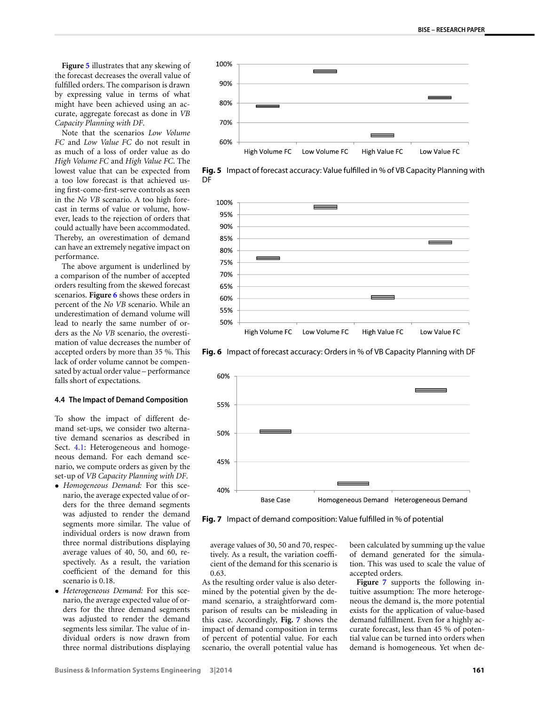**Figure [5](#page-8-1)** illustrates that any skewing of the forecast decreases the overall value of fulfilled orders. The comparison is drawn by expressing value in terms of what might have been achieved using an accurate, aggregate forecast as done in *VB Capacity Planning with DF*.

Note that the scenarios *Low Volume FC* and *Low Value FC* do not result in as much of a loss of order value as do *High Volume FC* and *High Value FC*. The lowest value that can be expected from a too low forecast is that achieved using first-come-first-serve controls as seen in the *No VB* scenario. A too high forecast in terms of value or volume, however, leads to the rejection of orders that could actually have been accommodated. Thereby, an overestimation of demand can have an extremely negative impact on performance.

<span id="page-8-2"></span><span id="page-8-0"></span>The above argument is underlined by a comparison of the number of accepted orders resulting from the skewed forecast scenarios. **Figure [6](#page-8-2)** shows these orders in percent of the *No VB* scenario. While an underestimation of demand volume will lead to nearly the same number of orders as the *No VB* scenario, the overestimation of value decreases the number of accepted orders by more than 35 %. This lack of order volume cannot be compensated by actual order value – performance falls short of expectations.

#### **4.4 The Impact of Demand Composition**

<span id="page-8-3"></span>To show the impact of different demand set-ups, we consider two alternative demand scenarios as described in Sect. [4.1](#page-5-2): Heterogeneous and homogeneous demand. For each demand scenario, we compute orders as given by the set-up of *VB Capacity Planning with DF*.

- *Homogeneous Demand:* For this scenario, the average expected value of orders for the three demand segments was adjusted to render the demand segments more similar. The value of individual orders is now drawn from three normal distributions displaying average values of 40, 50, and 60, respectively. As a result, the variation coefficient of the demand for this scenario is 0.18.
- *Heterogeneous Demand:* For this scenario, the average expected value of orders for the three demand segments was adjusted to render the demand segments less similar. The value of individual orders is now drawn from three normal distributions displaying

<span id="page-8-1"></span>

**Fig. 5** Impact of forecast accuracy: Value fulfilled in % of VB Capacity Planning with DF



**Fig. 6** Impact of forecast accuracy: Orders in % of VB Capacity Planning with DF



**Fig. 7** Impact of demand composition: Value fulfilled in % of potential

average values of 30, 50 and 70, respectively. As a result, the variation coefficient of the demand for this scenario is 0.63.

As the resulting order value is also determined by the potential given by the demand scenario, a straightforward comparison of results can be misleading in this case. Accordingly, **Fig. [7](#page-8-3)** shows the impact of demand composition in terms of percent of potential value. For each scenario, the overall potential value has been calculated by summing up the value of demand generated for the simulation. This was used to scale the value of accepted orders.

**Figure [7](#page-8-3)** supports the following intuitive assumption: The more heterogeneous the demand is, the more potential exists for the application of value-based demand fulfillment. Even for a highly accurate forecast, less than 45 % of potential value can be turned into orders when demand is homogeneous. Yet when de-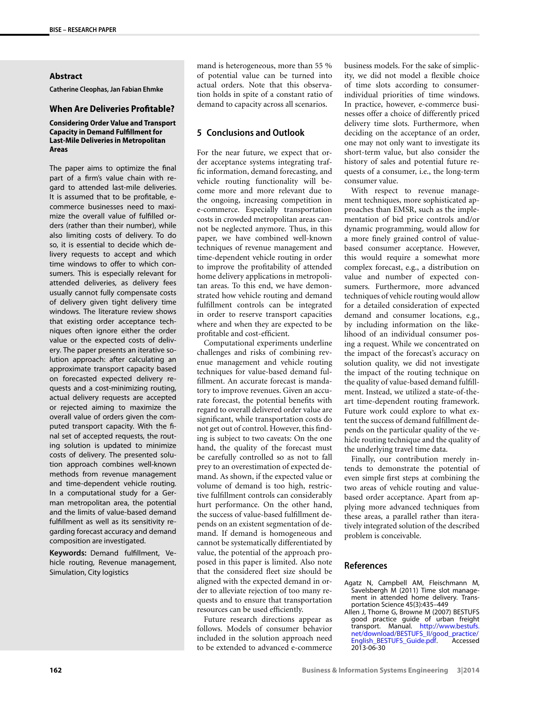#### **Abstract**

**Catherine Cleophas, Jan Fabian Ehmke**

#### **When Are Deliveries Profitable?**

#### **Considering Order Value and Transport Capacity in Demand Fulfillment for Last-Mile Deliveries in Metropolitan Areas**

The paper aims to optimize the final part of a firm's value chain with regard to attended last-mile deliveries. It is assumed that to be profitable, ecommerce businesses need to maximize the overall value of fulfilled orders (rather than their number), while also limiting costs of delivery. To do so, it is essential to decide which delivery requests to accept and which time windows to offer to which consumers. This is especially relevant for attended deliveries, as delivery fees usually cannot fully compensate costs of delivery given tight delivery time windows. The literature review shows that existing order acceptance techniques often ignore either the order value or the expected costs of delivery. The paper presents an iterative solution approach: after calculating an approximate transport capacity based on forecasted expected delivery requests and a cost-minimizing routing, actual delivery requests are accepted or rejected aiming to maximize the overall value of orders given the computed transport capacity. With the final set of accepted requests, the routing solution is updated to minimize costs of delivery. The presented solution approach combines well-known methods from revenue management and time-dependent vehicle routing. In a computational study for a German metropolitan area, the potential and the limits of value-based demand fulfillment as well as its sensitivity regarding forecast accuracy and demand composition are investigated.

**Keywords:** Demand fulfillment, Vehicle routing, Revenue management, Simulation, City logistics

mand is heterogeneous, more than 55 % of potential value can be turned into actual orders. Note that this observation holds in spite of a constant ratio of demand to capacity across all scenarios.

## **5 Conclusions and Outlook**

For the near future, we expect that order acceptance systems integrating traffic information, demand forecasting, and vehicle routing functionality will become more and more relevant due to the ongoing, increasing competition in e-commerce. Especially transportation costs in crowded metropolitan areas cannot be neglected anymore. Thus, in this paper, we have combined well-known techniques of revenue management and time-dependent vehicle routing in order to improve the profitability of attended home delivery applications in metropolitan areas. To this end, we have demonstrated how vehicle routing and demand fulfillment controls can be integrated in order to reserve transport capacities where and when they are expected to be profitable and cost-efficient.

Computational experiments underline challenges and risks of combining revenue management and vehicle routing techniques for value-based demand fulfillment. An accurate forecast is mandatory to improve revenues. Given an accurate forecast, the potential benefits with regard to overall delivered order value are significant, while transportation costs do not get out of control. However, this finding is subject to two caveats: On the one hand, the quality of the forecast must be carefully controlled so as not to fall prey to an overestimation of expected demand. As shown, if the expected value or volume of demand is too high, restrictive fulfillment controls can considerably hurt performance. On the other hand, the success of value-based fulfillment depends on an existent segmentation of demand. If demand is homogeneous and cannot be systematically differentiated by value, the potential of the approach proposed in this paper is limited. Also note that the considered fleet size should be aligned with the expected demand in order to alleviate rejection of too many requests and to ensure that transportation resources can be used efficiently.

Future research directions appear as follows. Models of consumer behavior included in the solution approach need to be extended to advanced e-commerce business models. For the sake of simplicity, we did not model a flexible choice of time slots according to consumerindividual priorities of time windows. In practice, however, e-commerce businesses offer a choice of differently priced delivery time slots. Furthermore, when deciding on the acceptance of an order, one may not only want to investigate its short-term value, but also consider the history of sales and potential future requests of a consumer, i.e., the long-term consumer value.

With respect to revenue management techniques, more sophisticated approaches than EMSR, such as the implementation of bid price controls and/or dynamic programming, would allow for a more finely grained control of valuebased consumer acceptance. However, this would require a somewhat more complex forecast, e.g., a distribution on value and number of expected consumers. Furthermore, more advanced techniques of vehicle routing would allow for a detailed consideration of expected demand and consumer locations, e.g., by including information on the likelihood of an individual consumer posing a request. While we concentrated on the impact of the forecast's accuracy on solution quality, we did not investigate the impact of the routing technique on the quality of value-based demand fulfillment. Instead, we utilized a state-of-theart time-dependent routing framework. Future work could explore to what extent the success of demand fulfillment depends on the particular quality of the vehicle routing technique and the quality of the underlying travel time data.

<span id="page-9-1"></span>Finally, our contribution merely intends to demonstrate the potential of even simple first steps at combining the two areas of vehicle routing and valuebased order acceptance. Apart from applying more advanced techniques from these areas, a parallel rather than iteratively integrated solution of the described problem is conceivable.

#### <span id="page-9-0"></span>**References**

- Agatz N, Campbell AM, Fleischmann M, Savelsbergh M (2011) Time slot management in attended home delivery. Transportation Science 45(3):435–449
- Allen J, Thorne G, Browne M (2007) BESTUFS good practice guide of urban freight transport. Manual. [http://www.bestufs.](http://www.bestufs.net/download/BESTUFS_II/good_practice/English_BESTUFS_Guide.pdf) [net/download/BESTUFS\\_II/good\\_practice/](http://www.bestufs.net/download/BESTUFS_II/good_practice/English_BESTUFS_Guide.pdf) [English\\_BESTUFS\\_Guide.pdf](http://www.bestufs.net/download/BESTUFS_II/good_practice/English_BESTUFS_Guide.pdf). Accessed 2013-06-30